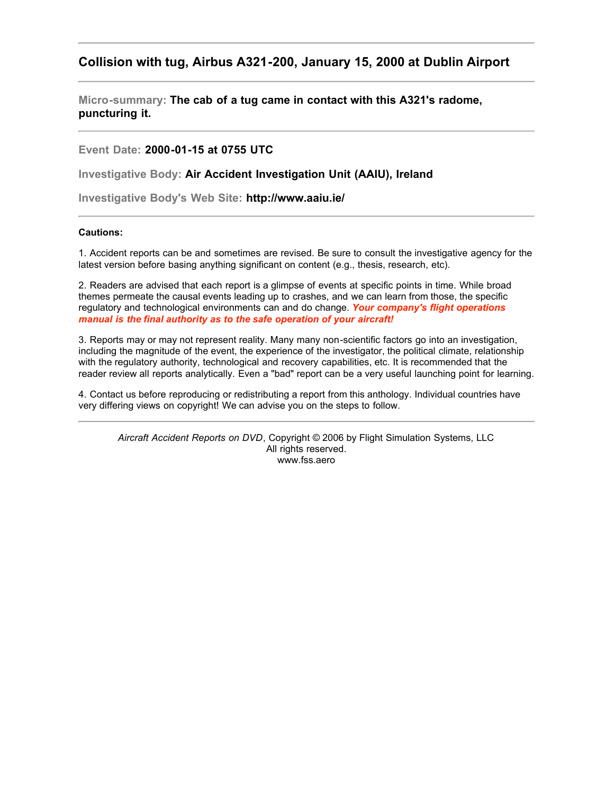# <span id="page-0-0"></span>**Collision with tug, Airbus A321-200, January 15, 2000 at Dublin Airport**

**Micro-summary: The cab of a tug came in contact with this A321's radome, puncturing it.**

**Event Date: 2000-01-15 at 0755 UTC**

**Investigative Body: Air Accident Investigation Unit (AAIU), Ireland**

**Investigative Body's Web Site: http://www.aaiu.ie/**

#### **Cautions:**

1. Accident reports can be and sometimes are revised. Be sure to consult the investigative agency for the latest version before basing anything significant on content (e.g., thesis, research, etc).

2. Readers are advised that each report is a glimpse of events at specific points in time. While broad themes permeate the causal events leading up to crashes, and we can learn from those, the specific regulatory and technological environments can and do change. *Your company's flight operations manual is the final authority as to the safe operation of your aircraft!*

3. Reports may or may not represent reality. Many many non-scientific factors go into an investigation, including the magnitude of the event, the experience of the investigator, the political climate, relationship with the regulatory authority, technological and recovery capabilities, etc. It is recommended that the reader review all reports analytically. Even a "bad" report can be a very useful launching point for learning.

4. Contact us before reproducing or redistributing a report from this anthology. Individual countries have very differing views on copyright! We can advise you on the steps to follow.

*Aircraft Accident Reports on DVD*, Copyright © 2006 by Flight Simulation Systems, LLC All rights reserved. www.fss.aero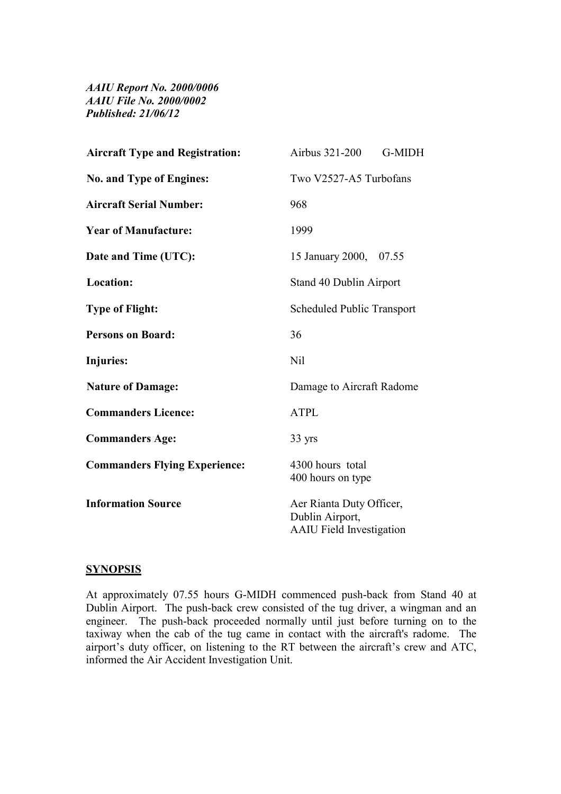*AAIU Report No. 2000/0006 AAIU File No. 2000/0002 Published: 21/06/12*

| <b>Aircraft Type and Registration:</b> | Airbus 321-200<br>G-MIDH                                                       |
|----------------------------------------|--------------------------------------------------------------------------------|
| <b>No. and Type of Engines:</b>        | Two V2527-A5 Turbofans                                                         |
| <b>Aircraft Serial Number:</b>         | 968                                                                            |
| <b>Year of Manufacture:</b>            | 1999                                                                           |
| Date and Time (UTC):                   | 15 January 2000, 07.55                                                         |
| Location:                              | Stand 40 Dublin Airport                                                        |
| <b>Type of Flight:</b>                 | <b>Scheduled Public Transport</b>                                              |
| <b>Persons on Board:</b>               | 36                                                                             |
| Injuries:                              | <b>Nil</b>                                                                     |
| <b>Nature of Damage:</b>               | Damage to Aircraft Radome                                                      |
| <b>Commanders Licence:</b>             | <b>ATPL</b>                                                                    |
| <b>Commanders Age:</b>                 | 33 yrs                                                                         |
| <b>Commanders Flying Experience:</b>   | 4300 hours total<br>400 hours on type                                          |
| <b>Information Source</b>              | Aer Rianta Duty Officer,<br>Dublin Airport,<br><b>AAIU</b> Field Investigation |

# **SYNOPSIS**

At approximately 07.55 hours G-MIDH commenced push-back from Stand 40 at Dublin Airport. The push-back crew consisted of the tug driver, a wingman and an engineer. The push-back proceeded normally until just before turning on to the taxiway when the cab of the tug came in contact with the aircraft's radome. The airport's duty officer, on listening to the RT between the aircraft's crew and ATC, informed the Air Accident Investigation Unit.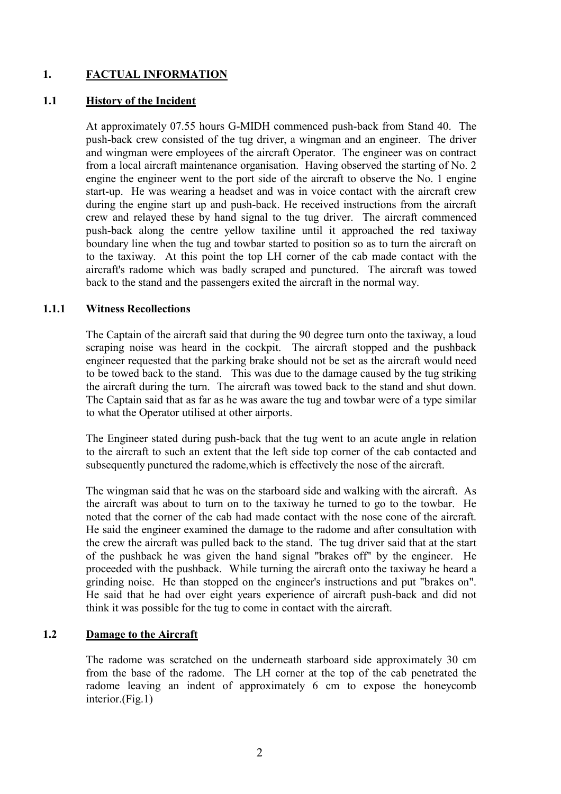# **1. FACTUAL INFORMATION**

#### **1.1 History of the Incident**

At approximately 07.55 hours G-MIDH commenced push-back from Stand 40. The push-back crew consisted of the tug driver, a wingman and an engineer. The driver and wingman were employees of the aircraft Operator. The engineer was on contract from a local aircraft maintenance organisation. Having observed the starting of No. 2 engine the engineer went to the port side of the aircraft to observe the No. 1 engine start-up. He was wearing a headset and was in voice contact with the aircraft crew during the engine start up and push-back. He received instructions from the aircraft crew and relayed these by hand signal to the tug driver. The aircraft commenced push-back along the centre yellow taxiline until it approached the red taxiway boundary line when the tug and towbar started to position so as to turn the aircraft on to the taxiway. At this point the top LH corner of the cab made contact with the aircraft's radome which was badly scraped and punctured. The aircraft was towed back to the stand and the passengers exited the aircraft in the normal way.

#### **1.1.1 Witness Recollections**

The Captain of the aircraft said that during the 90 degree turn onto the taxiway, a loud scraping noise was heard in the cockpit. The aircraft stopped and the pushback engineer requested that the parking brake should not be set as the aircraft would need to be towed back to the stand. This was due to the damage caused by the tug striking the aircraft during the turn. The aircraft was towed back to the stand and shut down. The Captain said that as far as he was aware the tug and towbar were of a type similar to what the Operator utilised at other airports.

The Engineer stated during push-back that the tug went to an acute angle in relation to the aircraft to such an extent that the left side top corner of the cab contacted and subsequently punctured the radome,which is effectively the nose of the aircraft.

The wingman said that he was on the starboard side and walking with the aircraft. As the aircraft was about to turn on to the taxiway he turned to go to the towbar. He noted that the corner of the cab had made contact with the nose cone of the aircraft. He said the engineer examined the damage to the radome and after consultation with the crew the aircraft was pulled back to the stand. The tug driver said that at the start of the pushback he was given the hand signal "brakes off" by the engineer. He proceeded with the pushback. While turning the aircraft onto the taxiway he heard a grinding noise. He than stopped on the engineer's instructions and put "brakes on". He said that he had over eight years experience of aircraft push-back and did not think it was possible for the tug to come in contact with the aircraft.

## **1.2 Damage to the Aircraft**

The radome was scratched on the underneath starboard side approximately 30 cm from the base of the radome. The LH corner at the top of the cab penetrated the radome leaving an indent of approximately 6 cm to expose the honeycomb interior.(Fig.1)